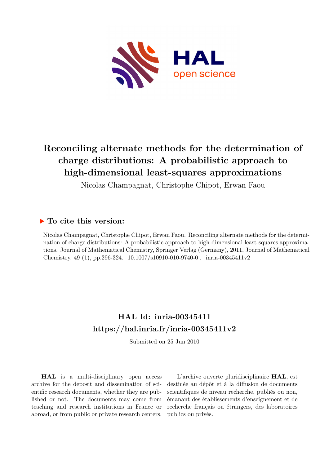

# **Reconciling alternate methods for the determination of charge distributions: A probabilistic approach to high-dimensional least-squares approximations**

Nicolas Champagnat, Christophe Chipot, Erwan Faou

# **To cite this version:**

Nicolas Champagnat, Christophe Chipot, Erwan Faou. Reconciling alternate methods for the determination of charge distributions: A probabilistic approach to high-dimensional least-squares approximations. Journal of Mathematical Chemistry, Springer Verlag (Germany), 2011, Journal of Mathematical Chemistry, 49 (1), pp.296-324.  $10.1007 \div 10910 - 010 - 9740 - 0$ . inria-00345411v2

# **HAL Id: inria-00345411 <https://hal.inria.fr/inria-00345411v2>**

Submitted on 25 Jun 2010

**HAL** is a multi-disciplinary open access archive for the deposit and dissemination of scientific research documents, whether they are published or not. The documents may come from teaching and research institutions in France or abroad, or from public or private research centers.

L'archive ouverte pluridisciplinaire **HAL**, est destinée au dépôt et à la diffusion de documents scientifiques de niveau recherche, publiés ou non, émanant des établissements d'enseignement et de recherche français ou étrangers, des laboratoires publics ou privés.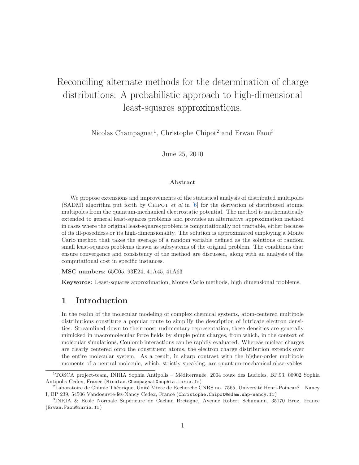# Reconciling alternate methods for the determination of charge distributions: A probabilistic approach to high-dimensional least-squares approximations.

Nicolas Champagnat<sup>1</sup>, Christophe Chipot<sup>2</sup> and Erwan Faou<sup>3</sup>

June 25, 2010

#### Abstract

We propose extensions and improvements of the statistical analysis of distributed multipoles (SADM) algorithm put forth by Chipot *et al* in [\[6\]](#page-22-0) for the derivation of distributed atomic multipoles from the quantum-mechanical electrostatic potential. The method is mathematically extended to general least-squares problems and provides an alternative approximation method in cases where the original least-squares problem is computationally not tractable, either because of its ill-posedness or its high-dimensionality. The solution is approximated employing a Monte Carlo method that takes the average of a random variable defined as the solutions of random small least-squares problems drawn as subsystems of the original problem. The conditions that ensure convergence and consistency of the method are discussed, along with an analysis of the computational cost in specific instances.

MSC numbers: 65C05, 93E24, 41A45, 41A63

Keywords: Least-squares approximation, Monte Carlo methods, high dimensional problems.

## 1 Introduction

In the realm of the molecular modeling of complex chemical systems, atom-centered multipole distributions constitute a popular route to simplify the description of intricate electron densities. Streamlined down to their most rudimentary representation, these densities are generally mimicked in macromolecular force fields by simple point charges, from which, in the context of molecular simulations, Coulomb interactions can be rapidly evaluated. Whereas nuclear charges are clearly centered onto the constituent atoms, the electron charge distribution extends over the entire molecular system. As a result, in sharp contrast with the higher-order multipole moments of a neutral molecule, which, strictly speaking, are quantum-mechanical observables,

<sup>&</sup>lt;sup>1</sup>TOSCA project-team, INRIA Sophia Antipolis – Méditerranée, 2004 route des Lucioles, BP.93, 06902 Sophia Antipolis Cedex, France (Nicolas.Champagnat@sophia.inria.fr)

<sup>&</sup>lt;sup>2</sup>Laboratoire de Chimie Théorique, Unité Mixte de Recherche CNRS no. 7565, Université Henri-Poincaré – Nancy I, BP 239, 54506 Vandoeuvre-lès-Nancy Cedex, France (Christophe.Chipot@edam.uhp-nancy.fr)

<sup>&</sup>lt;sup>3</sup>INRIA & Ecole Normale Supérieure de Cachan Bretagne, Avenue Robert Schumann, 35170 Bruz, France (Erwan.Faou@inria.fr)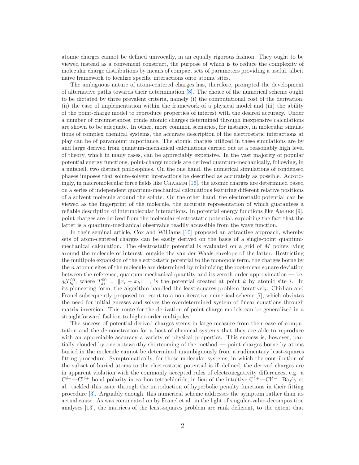atomic charges cannot be defined univocally, in an equally rigorous fashion. They ought to be viewed instead as a convenient construct, the purpose of which is to reduce the complexity of molecular charge distributions by means of compact sets of parameters providing a useful, albeit naive framework to localize specific interactions onto atomic sites.

The ambiguous nature of atom-centered charges has, therefore, prompted the development of alternative paths towards their determination [\[8\]](#page-22-1). The choice of the numerical scheme ought to be dictated by three prevalent criteria, namely (i) the computational cost of the derivation, (ii) the ease of implementation within the framework of a physical model and (iii) the ability of the point-charge model to reproduce properties of interest with the desired accuracy. Under a number of circumstances, crude atomic charges determined through inexpensive calculations are shown to be adequate. In other, more common scenarios, for instance, in molecular simulations of complex chemical systems, the accurate description of the electrostatic interactions at play can be of paramount importance. The atomic charges utilized in these simulations are by and large derived from quantum-mechanical calculations carried out at a reasonably high level of theory, which in many cases, can be appreciably expensive. In the vast majority of popular potential energy functions, point-charge models are derived quantum-mechanically, following, in a nutshell, two distinct philosophies. On the one hand, the numerical simulations of condensed phases imposes that solute-solvent interactions be described as accurately as possible. Accord-ingly, in macromolecular force fields like CHARMM [\[16\]](#page-23-0), the atomic charges are determined based on a series of independent quantum-mechanical calculations featuring different relative positions of a solvent molecule around the solute. On the other hand, the electrostatic potential can be viewed as the fingerprint of the molecule, the accurate representation of which guarantees a reliable description of intermolecular interactions. In potential energy functions like Amber [\[9\]](#page-23-1), point charges are derived from the molecular electrostatic potential, exploiting the fact that the latter is a quantum-mechanical observable readily accessible from the wave function.

In their seminal article, Cox and Williams [\[10\]](#page-23-2) proposed an attractive approach, whereby sets of atom-centered charges can be easily derived on the basis of a single-point quantummechanical calculation. The electrostatic potential is evaluated on a grid of M points lying around the molecule of interest, outside the van der Waals envelope of the latter. Restricting the multipole expansion of the electrostatic potential to the monopole term, the charges borne by the n atomic sites of the molecule are determined by minimizing the root-mean square deviation between the reference, quantum-mechanical quantity and its zeroth-order approximation — i.e.  $q_i T_{ki}^{00}$ , where  $T_{ki}^{00} = ||x_i - x_k||^{-1}$ , is the potential created at point k by atomic site i. In its pioneering form, the algorithm handled the least-squares problem iteratively. Chirlian and Francl subsequently proposed to resort to a non-iterative numerical scheme [\[7\]](#page-22-2), which obviates the need for initial guesses and solves the overdetermined system of linear equations through matrix inversion. This route for the derivation of point-charge models can be generalized in a straightforward fashion to higher-order multipoles.

The success of potential-derived charges stems in large measure from their ease of computation and the demonstration for a host of chemical systems that they are able to reproduce with an appreciable accuracy a variety of physical properties. This success is, however, partially clouded by one noteworthy shortcoming of the method — point charges borne by atoms buried in the molecule cannot be determined unambiguously from a rudimentary least-squares fitting procedure. Symptomatically, for those molecular systems, in which the contribution of the subset of buried atoms to the electrostatic potential is ill-defined, the derived charges are in apparent violation with the commonly accepted rules of electronegativity differences, e.g. a  $C^{\delta-}$  $-Cl^{\delta+}$  bond polarity in carbon tetrachloride, in lieu of the intuitive  $C^{\delta+}$  $-Cl^{\delta-}$ . Bayly et al. tackled this issue through the introduction of hyperbolic penalty functions in their fitting procedure [\[3\]](#page-22-3). Arguably enough, this numerical scheme addresses the symptom rather than its actual cause. As was commented on by Francl et al. in the light of singular-value-decomposition analyses [\[13\]](#page-23-3), the matrices of the least-squares problem are rank deficient, to the extent that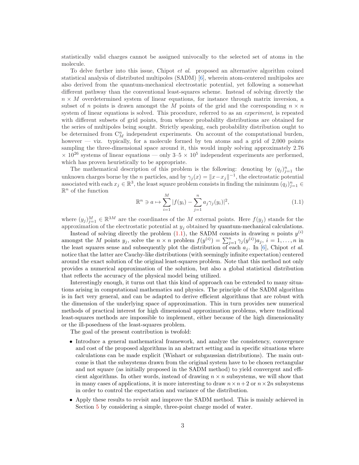statistically valid charges cannot be assigned univocally to the selected set of atoms in the molecule.

To delve further into this issue, Chipot *et al.* proposed an alternative algorithm coined statistical analysis of distributed multipoles (SADM) [\[6\]](#page-22-0), wherein atom-centered multipoles are also derived from the quantum-mechanical electrostatic potential, yet following a somewhat different pathway than the conventional least-squares scheme. Instead of solving directly the  $n \times M$  overdetermined system of linear equations, for instance through matrix inversion, a subset of n points is drawn amongst the M points of the grid and the corresponding  $n \times n$ system of linear equations is solved. This procedure, referred to as an *experiment*, is repeated with different subsets of grid points, from whence probability distributions are obtained for the series of multipoles being sought. Strictly speaking, each probability distribution ought to be determined from  $C_M^n$  independent experiments. On account of the computational burden, however — viz. typically, for a molecule formed by ten atoms and a grid of 2,000 points sampling the three-dimensional space around it, this would imply solving approximately 2.76  $\times$  10<sup>26</sup> systems of linear equations — only 3–5  $\times$  10<sup>5</sup> independent experiments are performed, which has proven heuristically to be appropriate.

The mathematical description of this problem is the following: denoting by  $(q_j)_{j=1}^n$  the unknown charges borne by the *n* particles, and by  $\gamma_j(x) = ||x - x_j||^{-1}$ , the electrostatic potential associated with each  $x_j \in \mathbb{R}^3$ , the least square problem consists in finding the minimum  $(q_j)_{j=1}^n \in$  $\mathbb{R}^n$  of the function

<span id="page-3-0"></span>
$$
\mathbb{R}^n \ni a \mapsto \sum_{i=1}^M |f(y_i) - \sum_{j=1}^n a_j \gamma_j(y_i)|^2,
$$
\n(1.1)

where  $(y_j)_{j=1}^M \in \mathbb{R}^{3M}$  are the coordinates of the M external points. Here  $f(y_j)$  stands for the approximation of the electrostatic potential at  $y_j$  obtained by quantum-mechanical calculations.

Instead of solving directly the problem  $(1.1)$ , the SADM consists in drawing n points  $y^{(i)}$ amongst the M points  $y_j$ , solve the  $n \times n$  problem  $f(y^{(i)}) = \sum_{j=1}^n \gamma_j(y^{(i)}) a_j$ ,  $i = 1, ..., n$  in the least squares sense and subsequently plot the distribution of each  $a_j$ . In [\[6\]](#page-22-0), Chipot *et al.* notice that the latter are Cauchy-like distributions (with seemingly infinite expectation) centered around the exact solution of the original least-squares problem. Note that this method not only provides a numerical approximation of the solution, but also a global statistical distribution that reflects the accuracy of the physical model being utilized.

Interestingly enough, it turns out that this kind of approach can be extended to many situations arising in computational mathematics and physics. The principle of the SADM algorithm is in fact very general, and can be adapted to derive efficient algorithms that are robust with the dimension of the underlying space of approximation. This in turn provides new numerical methods of practical interest for high dimensional approximation problems, where traditional least-squares methods are impossible to implement, either because of the high dimensionality or the ill-posedness of the least-squares problem.

The goal of the present contribution is twofold:

- Introduce a general mathematical framework, and analyze the consistency, convergence and cost of the proposed algorithms in an abstract setting and in specific situations where calculations can be made explicit (Wishart or subgaussian distributions). The main outcome is that the subsystems drawn from the original system have to be chosen rectangular and not square (as initially proposed in the SADM method) to yield convergent and efficient algorithms. In other words, instead of drawing  $n \times n$  subsystems, we will show that in many cases of applications, it is more interesting to draw  $n \times n + 2$  or  $n \times 2n$  subsystems in order to control the expectation and variance of the distribution.
- Apply these results to revisit and improve the SADM method. This is mainly achieved in Section [5](#page-14-0) by considering a simple, three-point charge model of water.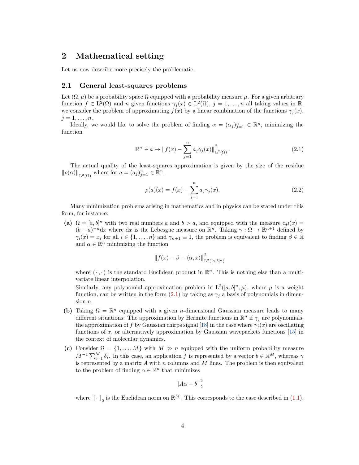## 2 Mathematical setting

Let us now describe more precisely the problematic.

#### 2.1 General least-squares problems

Let  $(\Omega, \mu)$  be a probability space  $\Omega$  equipped with a probability measure  $\mu$ . For a given arbitrary function  $f \in L^2(\Omega)$  and n given functions  $\gamma_j(x) \in L^2(\Omega)$ ,  $j = 1, ..., n$  all taking values in  $\mathbb{R}$ , we consider the problem of approximating  $f(x)$  by a linear combination of the functions  $\gamma_i(x)$ ,  $j=1,\ldots,n$ .

Ideally, we would like to solve the problem of finding  $\alpha = (\alpha_j)_{j=1}^n \in \mathbb{R}^n$ , minimizing the function

<span id="page-4-0"></span>
$$
\mathbb{R}^n \ni a \mapsto \|f(x) - \sum_{j=1}^n a_j \gamma_j(x)\|_{\mathcal{L}^2(\Omega)}^2.
$$
\n(2.1)

The actual quality of the least-squares approximation is given by the size of the residue  $\|\rho(\alpha)\|_{L^2(\Omega)}$  where for  $a = (a_j)_{j=1}^n \in \mathbb{R}^n$ ,

<span id="page-4-1"></span>
$$
\rho(a)(x) = f(x) - \sum_{j=1}^{n} a_j \gamma_j(x).
$$
\n(2.2)

Many minimization problems arising in mathematics and in physics can be stated under this form, for instance:

(a)  $\Omega = [a, b]^n$  with two real numbers a and  $b > a$ , and equipped with the measure  $d\mu(x) =$  $(b-a)^{-n}dx$  where dx is the Lebesgue measure on  $\mathbb{R}^n$ . Taking  $\gamma : \Omega \to \mathbb{R}^{n+1}$  defined by  $\gamma_i(x) = x_i$  for all  $i \in \{1, ..., n\}$  and  $\gamma_{n+1} \equiv 1$ , the problem is equivalent to finding  $\beta \in \mathbb{R}$ and  $\alpha \in \mathbb{R}^n$  minimizing the function

$$
\|f(x) - \beta - \langle \alpha, x \rangle\|_{\mathcal{L}^2([a,b]^n)}^2
$$

where  $\langle \cdot , \cdot \rangle$  is the standard Euclidean product in  $\mathbb{R}^n$ . This is nothing else than a multivariate linear interpolation.

Similarly, any polynomial approximation problem in  $L^2([a, b]^n, \mu)$ , where  $\mu$  is a weight function, can be written in the form [\(2.1\)](#page-4-0) by taking as  $\gamma_i$  a basis of polynomials in dimension n.

- (b) Taking  $\Omega = \mathbb{R}^n$  equipped with a given *n*-dimensional Gaussian measure leads to many different situations: The approximation by Hermite functions in  $\mathbb{R}^n$  if  $\gamma_j$  are polynomials, the approximation of f by Gaussian chirps signal [\[18\]](#page-23-4) in the case where  $\gamma_i(x)$  are oscillating functions of x, or alternatively approximation by Gaussian wavepackets functions  $[15]$  in the context of molecular dynamics.
- (c) Consider  $\Omega = \{1, ..., M\}$  with  $M \gg n$  equipped with the uniform probability measure  $M^{-1}\sum_{i=1}^{M}\delta_i$ . In this case, an application f is represented by a vector  $b \in \mathbb{R}^M$ , whereas  $\gamma$ is represented by a matrix  $A$  with  $n$  columns and  $M$  lines. The problem is then equivalent to the problem of finding  $\alpha \in \mathbb{R}^n$  that minimizes

$$
\left\|A\alpha - b\right\|_2^2
$$

where  $\|\cdot\|_2$  is the Euclidean norm on  $\mathbb{R}^M$ . This corresponds to the case described in [\(1.1\)](#page-3-0).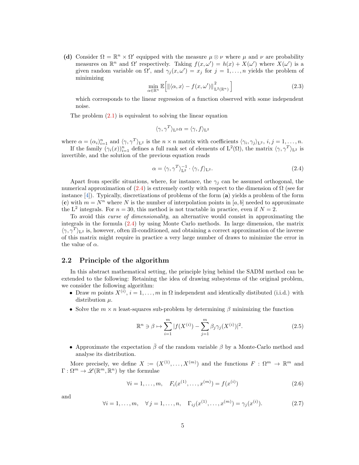(d) Consider  $\Omega = \mathbb{R}^n \times \Omega'$  equipped with the measure  $\mu \otimes \nu$  where  $\mu$  and  $\nu$  are probability measures on  $\mathbb{R}^n$  and  $\Omega'$  respectively. Taking  $f(x, \omega') = h(x) + X(\omega')$  where  $X(\omega')$  is a given random variable on  $\Omega'$ , and  $\gamma_j(x,\omega') = x_j$  for  $j = 1, \ldots, n$  yields the problem of minimizing

$$
\min_{\alpha \in \mathbb{R}^n} \mathbb{E}\Big[\|\langle \alpha, x \rangle - f(x, \omega')\|_{\mathcal{L}^2(\mathbb{R}^n)}^2\Big]
$$
\n(2.3)

which corresponds to the linear regression of a function observed with some independent noise.

The problem  $(2.1)$  is equivalent to solving the linear equation

$$
\langle \gamma, \gamma^T \rangle_{\mathcal{L}^2} \alpha = \langle \gamma, f \rangle_{\mathcal{L}^2}
$$

where  $\alpha = (\alpha_i)_{i=1}^n$  and  $\langle \gamma, \gamma^T \rangle_{L^2}$  is the  $n \times n$  matrix with coefficients  $\langle \gamma_i, \gamma_j \rangle_{L^2}, i, j = 1, \ldots, n$ .

If the family  $(\gamma_i(x))_{i=1}^n$  defines a full rank set of elements of  $L^2(\Omega)$ , the matrix  $\langle \gamma, \gamma^T \rangle_{L^2}$  is invertible, and the solution of the previous equation reads

<span id="page-5-0"></span>
$$
\alpha = \langle \gamma, \gamma^T \rangle_{\mathcal{L}^2}^{-1} \cdot \langle \gamma, f \rangle_{\mathcal{L}^2}.
$$
\n(2.4)

Apart from specific situations, where, for instance, the  $\gamma_i$  can be assumed orthogonal, the numerical approximation of  $(2.4)$  is extremely costly with respect to the dimension of  $\Omega$  (see for instance [\[4\]](#page-22-4)). Typically, discretizations of problems of the form (a) yields a problem of the form (c) with  $m = N^n$  where N is the number of interpolation points in [a, b] needed to approximate the L<sup>2</sup> integrals. For  $n = 30$ , this method is not tractable in practice, even if  $N = 2$ .

To avoid this *curse of dimensionality*, an alternative would consist in approximating the integrals in the formula [\(2.4\)](#page-5-0) by using Monte Carlo methods. In large dimension, the matrix  $\langle \gamma, \gamma^T \rangle_{L^2}$  is, however, often ill-conditioned, and obtaining a correct approximation of the inverse of this matrix might require in practice a very large number of draws to minimize the error in the value of  $\alpha$ .

#### <span id="page-5-1"></span>2.2 Principle of the algorithm

In this abstract mathematical setting, the principle lying behind the SADM method can be extended to the following: Retaining the idea of drawing subsystems of the original problem, we consider the following algorithm:

- Draw m points  $X^{(i)}$ ,  $i = 1, ..., m$  in  $\Omega$  independent and identically distibuted (i.i.d.) with distribution  $\mu$ .
- Solve the  $m \times n$  least-squares sub-problem by determining  $\beta$  minimizing the function

$$
\mathbb{R}^n \ni \beta \mapsto \sum_{i=1}^m |f(X^{(i)}) - \sum_{j=1}^m \beta_j \gamma_j(X^{(i)})|^2.
$$
 (2.5)

• Approximate the expectation  $\bar{\beta}$  of the random variable  $\beta$  by a Monte-Carlo method and analyse its distribution.

More precisely, we define  $X := (X^{(1)}, \ldots, X^{(m)})$  and the functions  $F : \Omega^m \to \mathbb{R}^m$  and  $\Gamma:\Omega^m\to\mathscr{L}(\mathbb{R}^m,\mathbb{R}^n)$  by the formulae

<span id="page-5-3"></span>
$$
\forall i = 1, \dots, m, \quad F_i(x^{(1)}, \dots, x^{(m)}) = f(x^{(i)}) \tag{2.6}
$$

and

<span id="page-5-2"></span>
$$
\forall i = 1, ..., m, \quad \forall j = 1, ..., n, \quad \Gamma_{ij}(x^{(1)}, ..., x^{(m)}) = \gamma_j(x^{(i)}).
$$
 (2.7)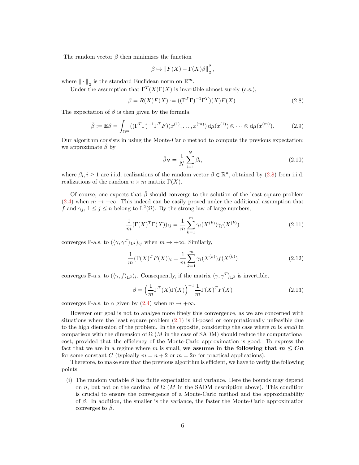The random vector  $\beta$  then minimizes the function

$$
\beta \mapsto \left\| F(X) - \Gamma(X)\beta \right\|_2^2,
$$

where  $\|\cdot\|_2$  is the standard Euclidean norm on  $\mathbb{R}^m$ .

Under the assumption that  $\Gamma^{T}(X)\Gamma(X)$  is invertible almost surely (a.s.),

<span id="page-6-0"></span>
$$
\beta = R(X)F(X) := ((\Gamma^T \Gamma)^{-1} \Gamma^T)(X)F(X).
$$
\n(2.8)

The expectation of  $\beta$  is then given by the formula

<span id="page-6-1"></span>
$$
\bar{\beta} := \mathbb{E}\beta = \int_{\Omega^m} ((\Gamma^T \Gamma)^{-1} \Gamma^T F)(x^{(1)}, \dots, x^{(m)}) d\mu(x^{(1)}) \otimes \dots \otimes d\mu(x^{(m)}).
$$
 (2.9)

Our algorithm consists in using the Monte-Carlo method to compute the previous expectation: we approximate  $\beta$  by

<span id="page-6-2"></span>
$$
\bar{\beta}_N = \frac{1}{N} \sum_{i=1}^N \beta_i,\tag{2.10}
$$

where  $\beta_i, i \geq 1$  are i.i.d. realizations of the random vector  $\beta \in \mathbb{R}^n$ , obtained by [\(2.8\)](#page-6-0) from i.i.d. realizations of the random  $n \times m$  matrix  $\Gamma(X)$ .

Of course, one expects that  $\bar{\beta}$  should converge to the solution of the least square problem [\(2.4\)](#page-5-0) when  $m \to +\infty$ . This indeed can be easily proved under the additional assumption that f and  $\gamma_j$ ,  $1 \le j \le n$  belong to  $L^2(\Omega)$ . By the strong law of large numbers,

$$
\frac{1}{m}(\Gamma(X)^T \Gamma(X))_{ij} = \frac{1}{m} \sum_{k=1}^{m} \gamma_i(X^{(k)}) \gamma_j(X^{(k)})
$$
\n(2.11)

converges  $\mathbb{P}\text{-a.s.}$  to  $(\langle \gamma, \gamma^T \rangle_{L^2})_{ij}$  when  $m \to +\infty$ . Similarly,

$$
\frac{1}{m}(\Gamma(X)^T F(X))_i = \frac{1}{m} \sum_{k=1}^m \gamma_i(X^{(k)}) f(X^{(k)})
$$
\n(2.12)

converges P-a.s. to  $(\langle \gamma, f \rangle_{L^2})_i$ . Consequently, if the matrix  $\langle \gamma, \gamma^T \rangle_{L^2}$  is invertible,

$$
\beta = \left(\frac{1}{m}\Gamma^T(X)\Gamma(X)\right)^{-1}\frac{1}{m}\Gamma(X)^T F(X) \tag{2.13}
$$

converges P-a.s. to  $\alpha$  given by [\(2.4\)](#page-5-0) when  $m \to +\infty$ .

However our goal is not to analyse more finely this convergence, as we are concerned with situations where the least square problem  $(2.1)$  is ill-posed or computationally unfeasible due to the high diemsnion of the problem. In the opposite, considering the case where m is *small* in comparison with the dimension of  $\Omega$  (M in the case of SADM) should reduce the computational cost, provided that the efficiency of the Monte-Carlo approximation is good. To express the fact that we are in a regime where m is small, we assume in the following that  $m \leq Cn$ for some constant C (typically  $m = n + 2$  or  $m = 2n$  for practical applications).

Therefore, to make sure that the previous algorithm is efficient, we have to verify the following points:

(i) The random variable  $\beta$  has finite expectation and variance. Here the bounds may depend on n, but not on the cardinal of  $\Omega$  (M in the SADM description above). This condition is crucial to ensure the convergence of a Monte-Carlo method and the approximability of β. In addition, the smaller is the variance, the faster the Monte-Carlo approximation converges to  $\bar{\beta}$ .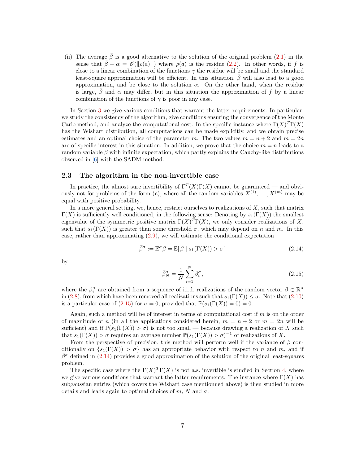(ii) The average  $\bar{\beta}$  is a good alternative to the solution of the original problem [\(2.1\)](#page-4-0) in the sense that  $\bar{\beta} - \alpha = \mathcal{O}(\|\rho(a)\|)$  where  $\rho(a)$  is the residue [\(2.2\)](#page-4-1). In other words, if f is close to a linear combination of the functions  $\gamma$  the residue will be small and the standard least-square approximation will be efficient. In this situation,  $\bar{\beta}$  will also lead to a good approximation, and be close to the solution  $\alpha$ . On the other hand, when the residue is large,  $\beta$  and  $\alpha$  may differ, but in this situation the approximation of f by a linear combination of the functions of  $\gamma$  is poor in any case.

In Section [3](#page-8-0) we give various conditions that warrant the latter requirements. In particular, we study the consistency of the algorithm, give conditions ensuring the convergence of the Monte Carlo method, and analyze the computational cost. In the specific instance where  $\Gamma(X)^T\Gamma(X)$ has the Wishart distribution, all computations can be made explicitly, and we obtain precise estimates and an optimal choice of the parameter m. The two values  $m = n + 2$  and  $m = 2n$ are of specific interest in this situation. In addition, we prove that the choice  $m = n$  leads to a random variable  $\beta$  with infinite expectation, which partly explains the Cauchy-like distributions observed in [\[6\]](#page-22-0) with the SADM method.

#### 2.3 The algorithm in the non-invertible case

In practice, the almost sure invertibility of  $\Gamma^{T}(X)\Gamma(X)$  cannot be guaranteed — and obviously not for problems of the form  $(c)$ , where all the random variables  $X^{(1)}, \ldots, X^{(m)}$  may be equal with positive probability.

In a more general setting, we, hence, restrict ourselves to realizations of  $X$ , such that matrix  $\Gamma(X)$  is sufficiently well conditioned, in the following sense: Denoting by  $s_1(\Gamma(X))$  the smallest eigenvalue of the symmetric positive matrix  $\Gamma(X)^T \Gamma(X)$ , we only consider realizations of X, such that  $s_1(\Gamma(X))$  is greater than some threshold  $\sigma$ , which may depend on n and m. In this case, rather than approximating  $(2.9)$ , we will estimate the conditional expectation

<span id="page-7-1"></span>
$$
\bar{\beta}^{\sigma} := \mathbb{E}^{\sigma} \beta = \mathbb{E}[\beta \mid s_1(\Gamma(X)) > \sigma] \tag{2.14}
$$

by

<span id="page-7-0"></span>
$$
\bar{\beta}_N^{\sigma} = \frac{1}{N} \sum_{i=1}^N \beta_i^{\sigma},\tag{2.15}
$$

where the  $\beta_i^{\sigma}$  are obtained from a sequence of i.i.d. realizations of the random vector  $\beta \in \mathbb{R}^n$ in [\(2.8\)](#page-6-0), from which have been removed all realizations such that  $s_1(\Gamma(X)) \leq \sigma$ . Note that [\(2.10\)](#page-6-2) is a particular case of [\(2.15\)](#page-7-0) for  $\sigma = 0$ , provided that  $\mathbb{P}(s_1(\Gamma(X)) = 0) = 0$ .

Again, such a method will be of interest in terms of computational cost if  $m$  is on the order of magnitude of n (in all the applications considered herein,  $m = n + 2$  or  $m = 2n$  will be sufficient) and if  $\mathbb{P}(s_1(\Gamma(X)) > \sigma)$  is not too small — because drawing a realization of X such that  $s_1(\Gamma(X)) > \sigma$  requires an average number  $\mathbb{P}(s_1(\Gamma(X)) > \sigma)^{-1}$  of realizations of X.

From the perspective of precision, this method will perform well if the variance of  $\beta$  conditionally on  $\{s_1(\Gamma(X)) > \sigma\}$  has an appropriate behavior with respect to n and m, and if  $β<sup>σ</sup>$  defined in [\(2.14\)](#page-7-1) provides a good approximation of the solution of the original least-squares problem.

The specific case where the  $\Gamma(X)^T\Gamma(X)$  is not a.s. invertible is studied in Section [4,](#page-11-0) where we give various conditions that warrant the latter requirements. The instance where  $\Gamma(X)$  has subgaussian entries (which covers the Wishart case mentionned above) is then studied in more details and leads again to optimal choices of m, N and  $\sigma$ .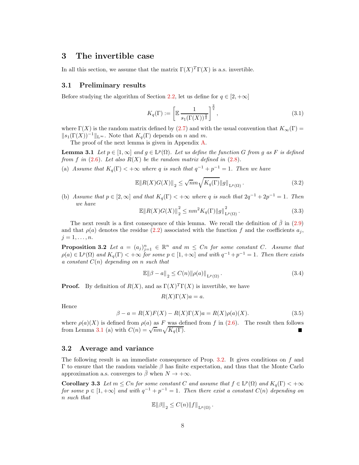## <span id="page-8-0"></span>3 The invertible case

In all this section, we assume that the matrix  $\Gamma(X)^T \Gamma(X)$  is a.s. invertible.

#### 3.1 Preliminary results

Before studying the algorithm of Section [2.2,](#page-5-1) let us define for  $q \in [2, +\infty]$ 

<span id="page-8-4"></span><span id="page-8-1"></span>
$$
K_q(\Gamma) := \left[ \mathbb{E} \frac{1}{s_1(\Gamma(X))^{\frac{q}{2}}} \right]^{\frac{2}{q}},\tag{3.1}
$$

where  $\Gamma(X)$  is the random matrix defined by [\(2.7\)](#page-5-2) and with the usual convention that  $K_{\infty}(\Gamma)$  =  $||s_1(\Gamma(X))^{-1}||_{\mathcal{L}^{\infty}}$ . Note that  $K_q(\Gamma)$  depends on n and m.

The proof of the next lemma is given in Appendix [A.](#page-16-0)

**Lemma 3.1** *Let*  $p \in [1, \infty]$  *and*  $g \in L^p(\Omega)$ *. Let us define the function* G *from* g *as* F *is defined from* f in  $(2.6)$ *. Let also*  $R(X)$  *be the random matrix defined in*  $(2.8)$ *.* 

(a) *Assume that*  $K_q(\Gamma) < +\infty$  *where* q *is such that*  $q^{-1} + p^{-1} = 1$ *. Then we have* 

$$
\mathbb{E} \|R(X)G(X)\|_2 \le \sqrt{n} m \sqrt{K_q(\Gamma)} \|g\|_{\mathcal{L}^p(\Omega)}.
$$
\n(3.2)

(b) *Assume that*  $p \in [2, \infty]$  *and that*  $K_q(\Gamma) < +\infty$  *where* q *is such that*  $2q^{-1} + 2p^{-1} = 1$ *. Then we have*

$$
\mathbb{E} \|R(X)G(X)\|_2^2 \le nm^2 K_q(\Gamma) \|g\|_{L^p(\Omega)}^2.
$$
\n(3.3)

The next result is a first consequence of this lemma. We recall the definition of  $\beta$  in [\(2.9\)](#page-6-1) and that  $\rho(a)$  denotes the residue [\(2.2\)](#page-4-1) associated with the function f and the coefficients  $a_j$ ,  $j=1,\ldots,n$ .

<span id="page-8-2"></span>**Proposition 3.2** Let  $a = (a_j)_{j=1}^n \in \mathbb{R}^n$  and  $m \leq C_n$  for some constant C. Assume that  $\rho(a) \in L^p(\Omega)$  and  $K_q(\Gamma) < +\infty$  for some  $p \in [1, +\infty]$  and with  $q^{-1} + p^{-1} = 1$ . Then there exists *a constant* C(n) *depending on* n *such that*

$$
\mathbb{E}\|\beta - a\|_2 \le C(n) \|\rho(a)\|_{\mathcal{L}^p(\Omega)}.
$$
\n(3.4)

**Proof.** By definition of  $R(X)$ , and as  $\Gamma(X)^T \Gamma(X)$  is invertible, we have

$$
R(X)\Gamma(X)a = a.
$$

Hence

$$
\beta - a = R(X)F(X) - R(X)\Gamma(X)a = R(X)\rho(a)(X). \tag{3.5}
$$

where  $\rho(a)(X)$  is defined from  $\rho(a)$  as F was defined from f in [\(2.6\)](#page-5-3). The result then follows from Lemma [3.1](#page-8-1) (a) with  $C(n) = \sqrt{n}m\sqrt{K_q(\Gamma)}$ .

#### 3.2 Average and variance

The following result is an immediate consequence of Prop. [3.2.](#page-8-2) It gives conditions on f and Γ to ensure that the random variable  $β$  has finite expectation, and thus that the Monte Carlo approximation a.s. converges to  $\bar{\beta}$  when  $N \to +\infty$ .

**Corollary 3.3** Let  $m \leq Cn$  for some constant C and assume that  $f \in L^p(\Omega)$  and  $K_q(\Gamma) < +\infty$ *for some*  $p \in [1, +\infty]$  *and with*  $q^{-1} + p^{-1} = 1$ *. Then there exist a constant*  $C(n)$  *depending on* n *such that*

<span id="page-8-3"></span>
$$
\mathbb{E}\|\beta\|_2 \leq C(n) \|f\|_{\mathcal{L}^p(\Omega)}.
$$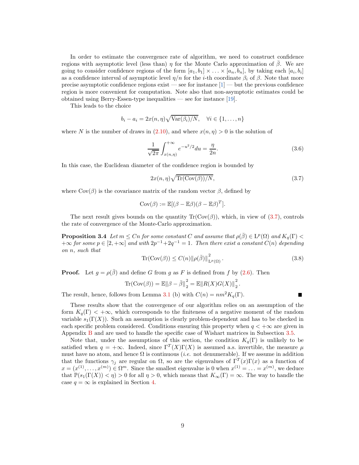In order to estimate the convergence rate of algorithm, we need to construct confidence regions with asymptotic level (less than) η for the Monte Carlo approximation of  $\bar{\beta}$ . We are going to consider confidence regions of the form  $[a_1, b_1] \times \ldots \times [a_n, b_n]$ , by taking each  $[a_i, b_i]$ as a confidence interval of asymptotic level  $\eta/n$  for the *i*-th coordinate  $\beta_i$  of  $\beta$ . Note that more precise asymptotic confidence regions exist — see for instance  $[1]$  — but the previous confidence region is more convenient for computation. Note also that non-asymptotic estimates could be obtained using Berry-Essen-type inequalities — see for instance  $[19]$ .

This leads to the choice

$$
b_i - a_i = 2x(n, \eta) \sqrt{\text{Var}(\beta_i)/N}, \quad \forall i \in \{1, \dots, n\}
$$

where N is the number of draws in [\(2.10\)](#page-6-2), and where  $x(n, \eta) > 0$  is the solution of

<span id="page-9-1"></span>
$$
\frac{1}{\sqrt{2\pi}} \int_{x(n,\eta)}^{+\infty} e^{-u^2/2} du = \frac{\eta}{2n}.
$$
\n(3.6)

In this case, the Euclidean diameter of the confidence region is bounded by

<span id="page-9-0"></span>
$$
2x(n,\eta)\sqrt{\text{Tr}(\text{Cov}(\beta))/N},\tag{3.7}
$$

where  $\text{Cov}(\beta)$  is the covariance matrix of the random vector  $\beta$ , defined by

$$
Cov(\beta) := \mathbb{E}[(\beta - \mathbb{E}\beta)(\beta - \mathbb{E}\beta)^T].
$$

<span id="page-9-2"></span>The next result gives bounds on the quantity  $\text{Tr}(\text{Cov}(\beta))$ , which, in view of [\(3.7\)](#page-9-0), controls the rate of convergence of the Monte-Carlo approximation.

**Proposition 3.4** *Let*  $m \leq Cn$  *for some constant*  $C$  *and assume that*  $\rho(\bar{\beta}) \in L^p(\Omega)$  *and*  $K_q(\Gamma)$  <  $+\infty$  *for some*  $p \in [2, +\infty]$  *and with*  $2p^{-1} + 2q^{-1} = 1$ *. Then there exist a constant*  $C(n)$  *depending on* n*, such that*

<span id="page-9-3"></span>
$$
\text{Tr}(\text{Cov}(\beta)) \le C(n) \|\rho(\bar{\beta})\|_{\text{L}^p(\Omega)}^2.
$$
\n(3.8)

**Proof.** Let  $q = \rho(\overline{\beta})$  and define G from q as F is defined from f by [\(2.6\)](#page-5-3). Then

Tr(Cov(
$$
\beta
$$
)) =  $\mathbb{E} ||\beta - \bar{\beta}||_2^2 = \mathbb{E} ||R(X)G(X)||_2^2$ .

The result, hence, follows from Lemma [3.1](#page-8-1) (b) with  $C(n) = nm^2 K_q(\Gamma)$ .

These results show that the convergence of our algorithm relies on an assumption of the form  $K_q(\Gamma) < +\infty$ , which corresponds to the finiteness of a negative moment of the random variable  $s_1(\Gamma(X))$ . Such an assumption is clearly problem-dependent and has to be checked in each specific problem considered. Conditions ensuring this property when  $q < +\infty$  are given in Appendix [B](#page-17-0) and are used to handle the specific case of Wishart matrices in Subsection [3.5.](#page-11-1)

Note that, under the assumptions of this section, the condition  $K_q(\Gamma)$  is unlikely to be satisfied when  $q = +\infty$ . Indeed, since  $\Gamma^{T}(X)\Gamma(X)$  is assumed a.s. invertible, the measure  $\mu$ must have no atom, and hence  $\Omega$  is continuous (*i.e.* not denumerable). If we assume in addition that the functions  $\gamma_j$  are regular on  $\Omega$ , so are the eigenvalues of  $\Gamma^T(x)\Gamma(x)$  as a function of  $x = (x^{(1)}, \ldots, x^{(m)}) \in \Omega^m$ . Since the smallest eigenvalue is 0 when  $x^{(1)} = \ldots = x^{(m)}$ , we deduce that  $\mathbb{P}(s_1(\Gamma(X)) < \eta) > 0$  for all  $\eta > 0$ , which means that  $K_\infty(\Gamma) = \infty$ . The way to handle the case  $q = \infty$  is explained in Section [4.](#page-11-0)

9

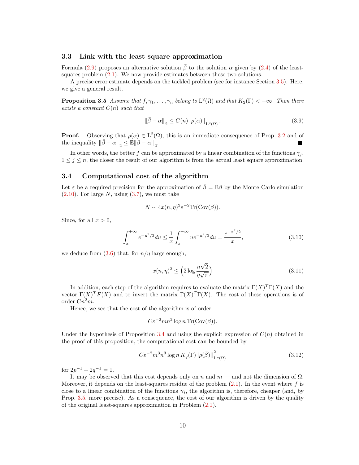#### 3.3 Link with the least square approximation

Formula [\(2.9\)](#page-6-1) proposes an alternative solution  $\bar{\beta}$  to the solution  $\alpha$  given by [\(2.4\)](#page-5-0) of the leastsquares problem [\(2.1\)](#page-4-0). We now provide estimates between these two solutions.

<span id="page-10-0"></span>A precise error estimate depends on the tackled problem (see for instance Section [3.5\)](#page-11-1). Here, we give a general result.

**Proposition 3.5** *Assume that*  $f, \gamma_1, \ldots, \gamma_n$  *belong to*  $L^2(\Omega)$  *and that*  $K_2(\Gamma) < +\infty$ *. Then there exists a constant* C(n) *such that*

$$
\left\|\bar{\beta} - \alpha\right\|_2 \le C(n) \|\rho(\alpha)\|_{L^2(\Omega)}.
$$
\n(3.9)

**Proof.** Observing that  $\rho(\alpha) \in L^2(\Omega)$ , this is an immediate consequence of Prop. [3.2](#page-8-2) and of the inequality  $\|\bar{\beta} - \alpha\|_2 \leq \mathbb{E} \|\beta - \alpha\|_2$ .

In other words, the better f can be approximated by a linear combination of the functions  $\gamma_i$ ,  $1 \leq j \leq n$ , the closer the result of our algorithm is from the actual least square approximation.

#### 3.4 Computational cost of the algorithm

Let  $\varepsilon$  be a required precision for the approximation of  $\overline{\beta} = \mathbb{E}\beta$  by the Monte Carlo simulation  $(2.10)$ . For large N, using  $(3.7)$ , we must take

$$
N \sim 4x(n, \eta)^2 \varepsilon^{-2} \text{Tr}(\text{Cov}(\beta)).
$$

Since, for all  $x > 0$ ,

$$
\int_{x}^{+\infty} e^{-u^{2}/2} du \leq \frac{1}{x} \int_{x}^{+\infty} u e^{-u^{2}/2} du = \frac{e^{-x^{2}/2}}{x},
$$
\n(3.10)

we deduce from  $(3.6)$  that, for  $n/\eta$  large enough,

<span id="page-10-1"></span>
$$
x(n,\eta)^2 \le \left(2\log\frac{n\sqrt{2}}{\eta\sqrt{\pi}}\right) \tag{3.11}
$$

In addition, each step of the algorithm requires to evaluate the matrix  $\Gamma(X)^T\Gamma(X)$  and the vector  $\Gamma(X)^T F(X)$  and to invert the matrix  $\Gamma(X)^T \Gamma(X)$ . The cost of these operations is of order  $Cn^2m$ .

Hence, we see that the cost of the algorithm is of order

$$
C\varepsilon^{-2}mn^2\log n \operatorname{Tr}(Cov(\beta)).
$$

Under the hypothesis of Proposition [3.4](#page-9-2) and using the explicit expression of  $C(n)$  obtained in the proof of this proposition, the computational cost can be bounded by

<span id="page-10-2"></span>
$$
C\varepsilon^{-2}m^3n^3\log n K_q(\Gamma)\|\rho(\bar{\beta})\|_{\mathrm{L}^p(\Omega)}^2\tag{3.12}
$$

for  $2p^{-1} + 2q^{-1} = 1$ .

It may be observed that this cost depends only on n and  $m$  — and not the dimension of  $\Omega$ . Moreover, it depends on the least-squares residue of the problem  $(2.1)$ . In the event where f is close to a linear combination of the functions  $\gamma_i$ , the algorithm is, therefore, cheaper (and, by Prop. [3.5,](#page-10-0) more precise). As a consequence, the cost of our algorithm is driven by the quality of the original least-squares approximation in Problem [\(2.1\)](#page-4-0).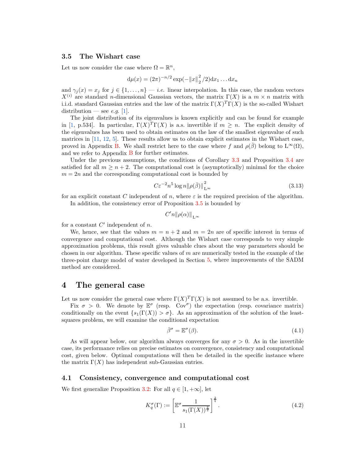#### <span id="page-11-1"></span>3.5 The Wishart case

Let us now consider the case where  $\Omega = \mathbb{R}^n$ ,

$$
d\mu(x) = (2\pi)^{-n/2} \exp(-||x||_2^2/2) dx_1 \dots dx_n
$$

and  $\gamma_j(x) = x_j$  for  $j \in \{1, ..., n\}$  – *i.e.* linear interpolation. In this case, the random vectors  $X^{(i)}$  are standard n-dimensional Gaussian vectors, the matrix  $\Gamma(X)$  is a  $m \times n$  matrix with i.i.d. standard Gaussian entries and the law of the matrix  $\Gamma(X)^T\Gamma(X)$  is the so-called Wishart distribution — see *e.g.* [\[1\]](#page-22-5).

The joint distribution of its eigenvalues is known explicitly and can be found for example in [\[1,](#page-22-5) p.534]. In particular,  $\Gamma(X)^T \Gamma(X)$  is a.s. invertible if  $m \geq n$ . The explicit density of the eigenvalues has been used to obtain estimates on the law of the smallest eigenvalue of such matrices in [\[11,](#page-23-7) [12,](#page-23-8) [5\]](#page-22-6). These results allow us to obtain explicit estimates in the Wishart case, proved in Appendix [B.](#page-18-0) We shall restrict here to the case where f and  $\rho(\beta)$  belong to  $L^{\infty}(\Omega)$ , and we refer to Appendix [B](#page-18-0) for further estimates.

Under the previous assumptions, the conditions of Corollary [3.3](#page-8-3) and Proposition [3.4](#page-9-2) are satisfied for all  $m > n + 2$ . The computational cost is (asymptotically) minimal for the choice  $m = 2n$  and the corresponding computational cost is bounded by

<span id="page-11-3"></span>
$$
C\varepsilon^{-2}n^5\log n\|\rho(\bar{\beta})\|_{\mathcal{L}^\infty}^2\tag{3.13}
$$

for an explicit constant C independent of n, where  $\varepsilon$  is the required precision of the algorithm. In addition, the consistency error of Proposition [3.5](#page-10-0) is bounded by

$$
C' n \|\rho(\alpha)\|_{\mathcal{L}^\infty}
$$

for a constant  $C'$  independent of  $n$ .

We, hence, see that the values  $m = n + 2$  and  $m = 2n$  are of specific interest in terms of convergence and computational cost. Although the Wishart case corresponds to very simple approximation problems, this result gives valuable clues about the way parameters should be chosen in our algorithm. These specific values of  $m$  are numerically tested in the example of the three-point charge model of water developed in Section [5,](#page-14-0) where improvements of the SADM method are considered.

### <span id="page-11-0"></span>4 The general case

Let us now consider the general case where  $\Gamma(X)^T \Gamma(X)$  is not assumed to be a.s. invertible.

Fix  $\sigma > 0$ . We denote by  $\mathbb{E}^{\sigma}$  (resp. Cov<sup> $\sigma$ </sup>) the expectation (resp. covariance matrix) conditionally on the event  $\{s_1(\Gamma(X)) > \sigma\}$ . As an approximation of the solution of the leastsquares problem, we will examine the conditional expectation

<span id="page-11-2"></span>
$$
\bar{\beta}^{\sigma} = \mathbb{E}^{\sigma}(\beta). \tag{4.1}
$$

As will appear below, our algorithm always converges for any  $\sigma > 0$ . As in the invertible case, its performance relies on precise estimates on convergence, consistency and computational cost, given below. Optimal computations will then be detailed in the specific instance where the matrix  $\Gamma(X)$  has independent sub-Gaussian entries.

#### 4.1 Consistency, convergence and computational cost

We first generalize Proposition [3.2:](#page-8-2) For all  $q \in [1, +\infty]$ , let

<span id="page-11-4"></span>
$$
K_q^{\sigma}(\Gamma) := \left[ \mathbb{E}^{\sigma} \frac{1}{s_1(\Gamma(X))^{\frac{q}{2}}} \right]^{\frac{2}{q}}.
$$
\n(4.2)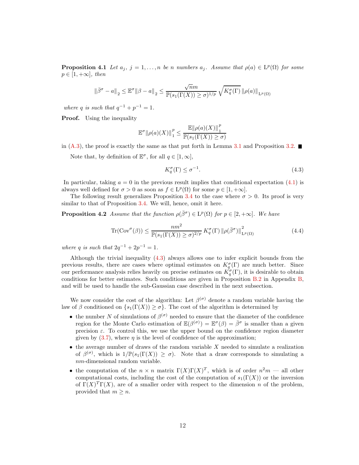<span id="page-12-2"></span>**Proposition 4.1** *Let*  $a_j$ ,  $j = 1, ..., n$  *be n numbers*  $a_j$ *. Assume that*  $\rho(a) \in L^p(\Omega)$  *for some*  $p \in [1, +\infty]$ , then

$$
\left\|\bar{\beta}^{\sigma}-a\right\|_2\leq\mathbb{E}^{\sigma}\|\beta-a\|_2\leq\frac{\sqrt{n}m}{\mathbb{P}(s_1(\Gamma(X))\geq\sigma)^{1/p}}\sqrt{K^{\sigma}_q(\Gamma)}\left\|\rho(a)\right\|_{\mathrm{L}^p(\Omega)}
$$

*where* q *is such that*  $q^{-1} + p^{-1} = 1$ *.* 

**Proof.** Using the inequality

$$
\mathbb{E}^{\sigma} \|\rho(a)(X)\|_{1}^{p} \le \frac{\mathbb{E} \|\rho(a)(X)\|_{1}^{p}}{\mathbb{P}(s_{1}(\Gamma(X)) \ge \sigma)}
$$

in [\(A.3\)](#page-17-1), the proof is exactly the same as that put forth in Lemma [3.1](#page-8-1) and Proposition [3.2.](#page-8-2)

Note that, by definition of  $\mathbb{E}^{\sigma}$ , for all  $q \in [1, \infty]$ ,

<span id="page-12-1"></span><span id="page-12-0"></span>
$$
K_q^{\sigma}(\Gamma) \le \sigma^{-1}.\tag{4.3}
$$

In particular, taking  $a = 0$  in the previous result implies that conditional expectation  $(4.1)$  is always well defined for  $\sigma > 0$  as soon as  $f \in L^p(\Omega)$  for some  $p \in [1, +\infty]$ .

The following result generalizes Proposition [3.4](#page-9-2) to the case where  $\sigma > 0$ . Its proof is very similar to that of Proposition [3.4.](#page-9-2) We will, hence, omit it here.

**Proposition 4.2** *Assume that the function*  $\rho(\bar{\beta}^{\sigma}) \in L^p(\Omega)$  *for*  $p \in [2, +\infty]$ *. We have* 

$$
\operatorname{Tr}(\operatorname{Cov}^{\sigma}(\beta)) \le \frac{n m^2}{\mathbb{P}(s_1(\Gamma(X)) \ge \sigma)^{2/p}} K_q^{\sigma}(\Gamma) \left\|\rho(\bar{\beta}^{\sigma})\right\|_{\operatorname{L}^p(\Omega)}^2
$$
\n(4.4)

*where* q *is such that*  $2q^{-1} + 2p^{-1} = 1$ *.* 

Although the trivial inequality [\(4.3\)](#page-12-0) always allows one to infer explicit bounds from the previous results, there are cases where optimal estimates on  $K_q^{\sigma}(\Gamma)$  are much better. Since our performance analysis relies heavily on precise estimates on  $K_q^{\sigma}(\Gamma)$ , it is desirable to obtain conditions for better estimates. Such conditions are given in Proposition [B.2](#page-18-1) in Appendix [B,](#page-17-0) and will be used to handle the sub-Gaussian case described in the next subsection.

We now consider the cost of the algorithm: Let  $\beta^{(\sigma)}$  denote a random variable having the law of  $\beta$  conditioned on  $\{s_1(\Gamma(X)) \geq \sigma\}$ . The cost of the algorithm is determined by

- the number N of simulations of  $\beta^{(\sigma)}$  needed to ensure that the diameter of the confidence region for the Monte Carlo estimation of  $\mathbb{E}(\beta^{(\sigma)}) = \mathbb{E}^{\sigma}(\beta) = \bar{\beta}^{\sigma}$  is smaller than a given precision  $\varepsilon$ . To control this, we use the upper bound on the confidence region diameter given by  $(3.7)$ , where  $\eta$  is the level of confidence of the approximation;
- $\bullet$  the average number of draws of the random variable X needed to simulate a realization of  $\beta^{(\sigma)}$ , which is  $1/\mathbb{P}(s_1(\Gamma(X)) \geq \sigma)$ . Note that a draw corresponds to simulating a nm-dimensional random variable.
- the computation of the  $n \times n$  matrix  $\Gamma(X)\Gamma(X)^T$ , which is of order  $n^2m$  all other computational costs, including the cost of the computation of  $s_1(\Gamma(X))$  or the inversion of  $\Gamma(X)^T\Gamma(X)$ , are of a smaller order with respect to the dimension n of the problem, provided that  $m \geq n$ .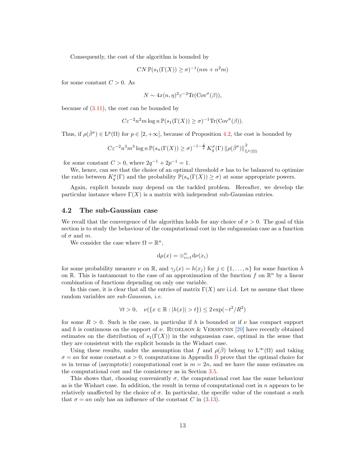Consequently, the cost of the algorithm is bounded by

$$
CN\,\mathbb{P}(s_1(\Gamma(X))\geq \sigma)^{-1}(nm+n^2m)
$$

for some constant  $C > 0$ . As

$$
N \sim 4x(n, \eta)^2 \varepsilon^{-2} \text{Tr}(\text{Cov}^{\sigma}(\beta)),
$$

because of [\(3.11\)](#page-10-1), the cost can be bounded by

$$
C\varepsilon^{-2}n^2m\log n\,\mathbb{P}(s_1(\Gamma(X))\geq \sigma)^{-1}\text{Tr}(\text{Cov}^{\sigma}(\beta)).
$$

Thus, if  $\rho(\bar{\beta}^{\sigma}) \in L^p(\Omega)$  for  $p \in [2, +\infty]$ , because of Proposition [4.2,](#page-12-1) the cost is bounded by

$$
C\varepsilon^{-2}n^3m^3\log n \mathbb{P}(s_n(\Gamma(X))\geq \sigma)^{-1-\frac{2}{p}}K_q^{\sigma}(\Gamma)\left\|\rho(\bar{\beta}^{\sigma})\right\|_{L^p(\Omega)}^2
$$

for some constant  $C > 0$ , where  $2q^{-1} + 2p^{-1} = 1$ .

We, hence, can see that the choice of an optimal threshold  $\sigma$  has to be balanced to optimize the ratio between  $K_q^{\sigma}(\Gamma)$  and the probability  $\mathbb{P}(s_n(\Gamma(X)) \geq \sigma)$  at some appropriate powers.

Again, explicit bounds may depend on the tackled problem. Hereafter, we develop the particular instance where  $\Gamma(X)$  is a matrix with independent sub-Gaussian entries.

#### <span id="page-13-0"></span>4.2 The sub-Gaussian case

We recall that the convergence of the algorithm holds for any choice of  $\sigma > 0$ . The goal of this section is to study the behaviour of the computational cost in the subgaussian case as a function of  $\sigma$  and  $m$ .

We consider the case where  $\Omega = \mathbb{R}^n$ ,

$$
\mathrm{d}\mu(x)=\otimes_{i=1}^n \mathrm{d}\nu(x_i)
$$

for some probability measure  $\nu$  on  $\mathbb{R}$ , and  $\gamma_j(x) = h(x_j)$  for  $j \in \{1, ..., n\}$  for some function h on  $\mathbb{R}$ . This is tantamount to the case of an approximation of the function f on  $\mathbb{R}^n$  by a linear combination of functions depending on only one variable.

In this case, it is clear that all the entries of matrix  $\Gamma(X)$  are i.i.d. Let us assume that these random variables are *sub-Gaussian*, *i.e.*

$$
\forall t > 0, \quad \nu(\{x \in \mathbb{R} : |h(x)| > t\}) \le 2\exp(-t^2/R^2)
$$

for some  $R > 0$ . Such is the case, in particular if h is bounded or if  $\nu$  has compact support and h is continuous on the support of  $\nu$ . RUDELSON & VERSHYNIN [\[20\]](#page-23-9) have recently obtained estimates on the distribution of  $s_1(\Gamma(X))$  in the subgaussian case, optimal in the sense that they are consistent with the explicit bounds in the Wishart case.

Using these results, under the assumption that f and  $\rho(\beta)$  belong to  $L^{\infty}(\Omega)$  and taking  $\sigma = an$  for some constant  $a > 0$ , computations in Appendix [B](#page-21-0) prove that the optimal choice for m in terms of (asymptotic) computational cost is  $m = 2n$ , and we have the same estimates on the computational cost and the consistency as in Section [3.5.](#page-11-1)

This shows that, choosing conveniently  $\sigma$ , the computational cost has the same behaviour as is the Wishart case. In addition, the result in terms of computational cost in  $n$  appears to be relatively unaffected by the choice of  $\sigma$ . In particular, the specific value of the constant a such that  $\sigma = an$  only has an influence of the constant C in [\(3.13\)](#page-11-3).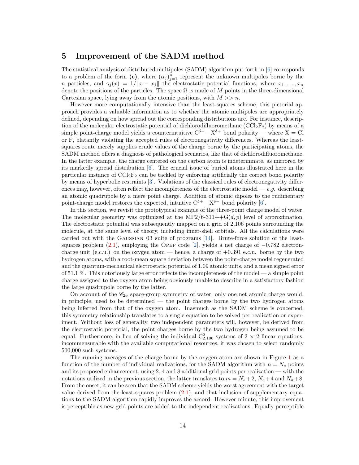## <span id="page-14-0"></span>5 Improvement of the SADM method

The statistical analysis of distributed multipoles (SADM) algorithm put forth in [\[6\]](#page-22-0) corresponds to a problem of the form  $(c)$ , where  $(\alpha_j)_{j=1}^n$  represent the unknown multipoles borne by the n particles, and  $\gamma_j(x) = 1/||x - x_j||$  the electrostatic potential functions, where  $x_1, \ldots, x_n$ denote the positions of the particles. The space  $\Omega$  is made of M points in the three-dimensional Cartesian space, lying away from the atomic positions, with  $M >> n$ .

However more computationally intensive than the least-squares scheme, this pictorial approach provides a valuable information as to whether the atomic multipoles are appropriately defined, depending on how spread out the corresponding distributions are. For instance, description of the molecular electrostatic potential of dichlorodifluoromethane  $(CCl_2F_2)$  by means of a simple point-charge model yields a counterintuitive  $C^{\delta-}$ — $X^{\delta+}$  bond polarity — where X = Cl or F, blatantly violating the accepted rules of electronegativity differences. Whereas the leastsquares route merely supplies crude values of the charge borne by the participating atoms, the SADM method offers a diagnosis of pathological scenarios, like that of dichlorodifluoromethane. In the latter example, the charge centered on the carbon atom is indeterminate, as mirrored by its markedly spread distribution [\[6\]](#page-22-0). The crucial issue of buried atoms illustrated here in the particular instance of  $\text{CCl}_2\text{F}_2$  can be tackled by enforcing artificially the correct bond polarity by means of hyperbolic restraints [\[3\]](#page-22-3). Violations of the classical rules of electronegativity differences may, however, often reflect the incompleteness of the electrostatic model —  $e.g.$  describing an atomic quadrupole by a mere point charge. Addition of atomic dipoles to the rudimentary point-charge model restores the expected, intuitive  $C^{\delta+}-X^{\delta-}$  bond polarity [\[6\]](#page-22-0).

In this section, we revisit the prototypical example of the three-point charge model of water. The molecular geometry was optimized at the MP2/6-311++ $G(d, p)$  level of approximation. The electrostatic potential was subsequently mapped on a grid of 2,106 points surrounding the molecule, at the same level of theory, including inner-shell orbitals. All the calculations were carried out with the Gaussian 03 suite of programs [\[14\]](#page-23-10). Brute-force solution of the leastsquares problem  $(2.1)$ , employing the OPEP code [\[2\]](#page-22-7), yields a net charge of  $-0.782$  electroncharge unit (e.c.u.) on the oxygen atom — hence, a charge of  $+0.391$  e.c.u. borne by the two hydrogen atoms, with a root-mean square deviation between the point-charge model regenerated and the quantum-mechanical electrostatic potential of 1.09 atomic units, and a mean signed error of 51.1 %. This notoriously large error reflects the incompleteness of the model — a simple point charge assigned to the oxygen atom being obviously unable to describe in a satisfactory fashion the large quadrupole borne by the latter.

On account of the  $\mathscr{C}_{2v}$  space-group symmetry of water, only one net atomic charge would, in principle, need to be determined — the point charges borne by the two hydrogen atoms being inferred from that of the oxygen atom. Inasmuch as the SADM scheme is concerned, this symmetry relationship translates to a single equation to be solved per realization or experiment. Without loss of generality, two independent parameters will, however, be derived from the electrostatic potential, the point charges borne by the two hydrogen being assumed to be equal. Furthermore, in lieu of solving the individual  $C_{2,106}^2$  systems of  $2 \times 2$  linear equations, incommensurable with the available computational resources, it was chosen to select randomly 500,000 such systems.

The running averages of the charge borne by the oxygen atom are shown in Figure [1](#page-15-0) as a function of the number of individual realizations, for the SADM algorithm with  $n = N<sub>s</sub>$  points and its proposed enhancement, using 2, 4 and 8 additional grid points per realization — with the notations utilized in the previous section, the latter translates to  $m = N_s + 2$ ,  $N_s + 4$  and  $N_s + 8$ . From the onset, it can be seen that the SADM scheme yields the worst agreement with the target value derived from the least-squares problem  $(2.1)$ , and that inclusion of supplementary equations to the SADM algorithm rapidly improves the accord. However minute, this improvement is perceptible as new grid points are added to the independent realizations. Equally perceptible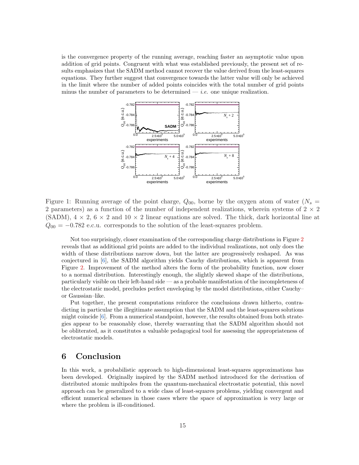is the convergence property of the running average, reaching faster an asymptotic value upon addition of grid points. Congruent with what was established previously, the present set of results emphasizes that the SADM method cannot recover the value derived from the least-squares equations. They further suggest that convergence towards the latter value will only be achieved in the limit where the number of added points coincides with the total number of grid points minus the number of parameters to be determined  $- i.e.$  one unique realization.



<span id="page-15-0"></span>Figure 1: Running average of the point charge,  $Q_{00}$ , borne by the oxygen atom of water  $(N_s =$ 2 parameters) as a function of the number of independent realizations, wherein systems of  $2 \times 2$ (SADM),  $4 \times 2$ ,  $6 \times 2$  and  $10 \times 2$  linear equations are solved. The thick, dark horizontal line at  $Q_{00} = -0.782$  e.c.u. corresponds to the solution of the least-squares problem.

Not too surprisingly, closer examination of the corresponding charge distributions in Figure [2](#page-16-1) reveals that as additional grid points are added to the individual realizations, not only does the width of these distributions narrow down, but the latter are progressively reshaped. As was conjectured in [\[6\]](#page-22-0), the SADM algorithm yields Cauchy distributions, which is apparent from Figure [2.](#page-16-1) Improvement of the method alters the form of the probability function, now closer to a normal distribution. Interestingly enough, the slightly skewed shape of the distributions, particularly visible on their left-hand side — as a probable manifestation of the incompleteness of the electrostatic model, precludes perfect enveloping by the model distributions, either Cauchy– or Gaussian–like.

Put together, the present computations reinforce the conclusions drawn hitherto, contradicting in particular the illegitimate assumption that the SADM and the least-squares solutions might coincide [\[6\]](#page-22-0). From a numerical standpoint, however, the results obtained from both strategies appear to be reasonably close, thereby warranting that the SADM algorithm should not be obliterated, as it constitutes a valuable pedagogical tool for assessing the appropriateness of electrostatic models.

# 6 Conclusion

In this work, a probabilistic approach to high-dimensional least-squares approximations has been developed. Originally inspired by the SADM method introduced for the derivation of distributed atomic multipoles from the quantum-mechanical electrostatic potential, this novel approach can be generalized to a wide class of least-squares problems, yielding convergent and efficient numerical schemes in those cases where the space of approximation is very large or where the problem is ill-conditioned.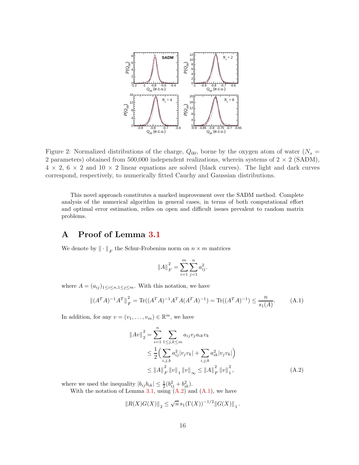

<span id="page-16-1"></span>Figure 2: Normalized distributions of the charge,  $Q_{00}$ , borne by the oxygen atom of water  $(N_s =$ 2 parameters) obtained from 500,000 independent realizations, wherein systems of  $2 \times 2$  (SADM),  $4 \times 2$ ,  $6 \times 2$  and  $10 \times 2$  linear equations are solved (black curves). The light and dark curves correspond, respectively, to numerically fitted Cauchy and Gaussian distributions.

This novel approach constitutes a marked improvement over the SADM method. Complete analysis of the numerical algorithm in general cases, in terms of both computational effort and optimal error estimation, relies on open and difficult issues prevalent to random matrix problems.

# <span id="page-16-0"></span>A Proof of Lemma [3.1](#page-8-1)

We denote by  $\|\cdot\|_F$  the Schur-Frobenius norm on  $n \times m$  matrices

$$
||A||_F^2 = \sum_{i=1}^m \sum_{j=1}^n a_{ij}^2.
$$

where  $A = (a_{ij})_{1 \leq i \leq n, 1 \leq j \leq m}$ . With this notation, we have

<span id="page-16-3"></span>
$$
\left\| (A^T A)^{-1} A^T \right\|_F^2 = \text{Tr}((A^T A)^{-1} A^T A (A^T A)^{-1}) = \text{Tr}((A^T A)^{-1}) \le \frac{n}{s_1(A)}.\tag{A.1}
$$

In addition, for any  $v = (v_1, \dots, v_m) \in \mathbb{R}^m$ , we have

<span id="page-16-2"></span>
$$
\|Av\|_{2}^{2} = \sum_{i=1}^{n} \sum_{1 \leq j,k \leq m} a_{ij} v_{j} a_{ik} v_{k}
$$
  
\n
$$
\leq \frac{1}{2} \Big( \sum_{i,j,k} a_{ij}^{2} |v_{j} v_{k}| + \sum_{i,j,k} a_{ik}^{2} |v_{j} v_{k}| \Big)
$$
  
\n
$$
\leq \|A\|_{F}^{2} \|v\|_{1} \|v\|_{\infty} \leq \|A\|_{F}^{2} \|v\|_{1}^{2}, \tag{A.2}
$$

where we used the inequality  $|b_{ij}b_{ik}| \leq \frac{1}{2}(b_{ij}^2 + b_{ik}^2)$ .

With the notation of Lemma [3.1,](#page-8-1) using  $(A.2)$  and  $(A.1)$ , we have

$$
\left\|R(X)G(X)\right\|_2 \leq \sqrt{n} \, s_1(\Gamma(X))^{-1/2} \left\|G(X)\right\|_1.
$$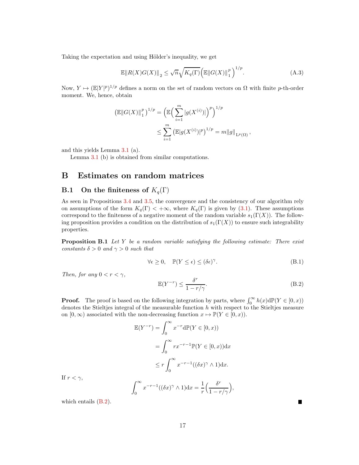Taking the expectation and using Hölder's inequality, we get

<span id="page-17-1"></span>
$$
\mathbb{E} \|R(X)G(X)\|_2 \le \sqrt{n} \sqrt{K_q(\Gamma)} \left(\mathbb{E} \|G(X)\|_1^p\right)^{1/p}.\tag{A.3}
$$

Now,  $Y \mapsto (\mathbb{E}|Y|^p)^{1/p}$  defines a norm on the set of random vectors on  $\Omega$  with finite p-th-order moment. We, hence, obtain

$$
\left(\mathbb{E}||G(X)||_1^p\right)^{1/p} = \left(\mathbb{E}\left(\sum_{i=1}^m |g(X^{(i)})|\right)^p\right)^{1/p}
$$
  

$$
\leq \sum_{i=1}^m \left(\mathbb{E}|g(X^{(i)})|^p\right)^{1/p} = m||g||_{L^p(\Omega)},
$$

and this yields Lemma [3.1](#page-8-1) (a).

Lemma [3.1](#page-8-1) (b) is obtained from similar computations.

### <span id="page-17-0"></span>B Estimates on random matrices

### **B.1** On the finiteness of  $K_q(\Gamma)$

As seen in Propositions [3.4](#page-9-2) and [3.5,](#page-10-0) the convergence and the consistency of our algorithm rely on assumptions of the form  $K_q(\Gamma) < +\infty$ , where  $K_q(\Gamma)$  is given by [\(3.1\)](#page-8-4). These assumptions correspond to the finiteness of a negative moment of the random variable  $s_1(\Gamma(X))$ . The following proposition provides a condition on the distribution of  $s_1(\Gamma(X))$  to ensure such integrability properties.

<span id="page-17-4"></span>Proposition B.1 *Let* Y *be a random variable satisfying the following estimate: There exist constants*  $\delta > 0$  *and*  $\gamma > 0$  *such that* 

<span id="page-17-3"></span>
$$
\forall \epsilon \ge 0, \quad \mathbb{P}(Y \le \epsilon) \le (\delta \epsilon)^{\gamma}.
$$
 (B.1)

*Then, for any*  $0 < r < \gamma$ *,* 

<span id="page-17-2"></span>
$$
\mathbb{E}(Y^{-r}) \le \frac{\delta^r}{1 - r/\gamma}.\tag{B.2}
$$

 $\blacksquare$ 

**Proof.** The proof is based on the following integration by parts, where  $\int_0^\infty h(x) d\mathbb{P}(Y \in [0, x))$ denotes the Stieltjes integral of the measurable function  $h$  with respect to the Stieltjes measure on  $[0, \infty)$  associated with the non-decreasing function  $x \mapsto \mathbb{P}(Y \in [0, x))$ .

$$
\mathbb{E}(Y^{-r}) = \int_0^\infty x^{-r} d\mathbb{P}(Y \in [0, x))
$$
  
= 
$$
\int_0^\infty rx^{-r-1} \mathbb{P}(Y \in [0, x)) dx
$$
  

$$
\leq r \int_0^\infty x^{-r-1} ((\delta x)^\gamma \wedge 1) dx.
$$
  

$$
\int_0^\infty x^{-r-1} ((\delta x)^\gamma \wedge 1) dx = \frac{1}{r} \left( \frac{\delta^r}{1 - r/\gamma} \right),
$$

If  $r < \gamma$ ,

which entails [\(B.2\)](#page-17-2).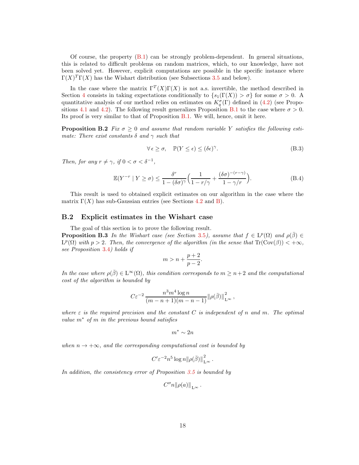Of course, the property  $(B.1)$  can be strongly problem-dependent. In general situations, this is related to difficult problems on random matrices, which, to our knowledge, have not been solved yet. However, explicit computations are possible in the specific instance where  $\Gamma(X)^T \Gamma(X)$  has the Wishart distribution (see Subsections [3.5](#page-11-1) and below).

In the case where the matrix  $\Gamma^{T}(X)\Gamma(X)$  is not a.s. invertible, the method described in Section [4](#page-11-0) consists in taking expectations conditionally to  $\{s_1(\Gamma(X)) > \sigma\}$  for some  $\sigma > 0$ . quantitative analysis of our method relies on estimates on  $K_q^{\sigma}(\Gamma)$  defined in [\(4.2\)](#page-11-4) (see Propo-sitions [4.1](#page-12-2) and [4.2\)](#page-12-1). The following result generalizes Proposition [B.1](#page-17-4) to the case where  $\sigma > 0$ . Its proof is very similar to that of Proposition [B.1.](#page-17-4) We will, hence, omit it here.

<span id="page-18-1"></span>**Proposition B.2** *Fix*  $\sigma \geq 0$  *and assume that random variable* Y *satisfies the following estimate: There exist constants*  $\delta$  *and*  $\gamma$  *such that* 

<span id="page-18-2"></span>
$$
\forall \epsilon \ge \sigma, \quad \mathbb{P}(Y \le \epsilon) \le (\delta \epsilon)^{\gamma}.
$$
 (B.3)

*Then, for any*  $r \neq \gamma$ *, if*  $0 < \sigma < \delta^{-1}$ *,* 

<span id="page-18-3"></span>
$$
\mathbb{E}(Y^{-r} \mid Y \ge \sigma) \le \frac{\delta^r}{1 - (\delta \sigma)^\gamma} \Big( \frac{1}{1 - r/\gamma} + \frac{(\delta \sigma)^{-(r-\gamma)}}{1 - \gamma/r} \Big). \tag{B.4}
$$

This result is used to obtained explicit estimates on our algorithm in the case where the matrix  $\Gamma(X)$  has sub-Gaussian entries (see Sections [4.2](#page-13-0) and [B\)](#page-21-0).

#### <span id="page-18-0"></span>B.2 Explicit estimates in the Wishart case

The goal of this section is to prove the following result. **Proposition B.3** *In the Wishart case (see Section* [3.5](#page-11-1)*)*, assume that  $f \in L^p(\Omega)$  and  $\rho(\bar{\beta}) \in$  $L^p(\Omega)$  with  $p > 2$ . Then, the convergence of the algorithm (in the sense that  $\text{Tr}(\text{Cov}(\beta)) < +\infty$ , *see Proposition* [3.4](#page-9-2)*) holds if*

$$
m > n + \frac{p+2}{p-2}.
$$

*In the case where*  $\rho(\beta) \in L^{\infty}(\Omega)$ *, this condition corresponds to*  $m \geq n+2$  *and the computational cost of the algorithm is bounded by*

$$
C\varepsilon^{-2} \frac{n^3 m^4 \log n}{(m-n+1)(m-n-1)} {\left\|\rho(\bar{\beta})\right\|}_{\mathrm{L}^{\infty}}^2,
$$

*where* ε *is the required precision and the constant* C *is independent of* n *and* m*. The optimal value* m<sup>∗</sup> *of* m *in the previous bound satisfies*

$$
m^* \sim 2n
$$

*when*  $n \rightarrow +\infty$ *, and the corresponding computational cost is bounded by* 

$$
C' \varepsilon^{-2} n^5 \log n ||\rho(\bar{\beta})||_{L^{\infty}}^2.
$$

*In addition, the consistency error of Proposition [3.5](#page-10-0) is bounded by*

$$
C''n||\rho(a)||_{L^{\infty}}.
$$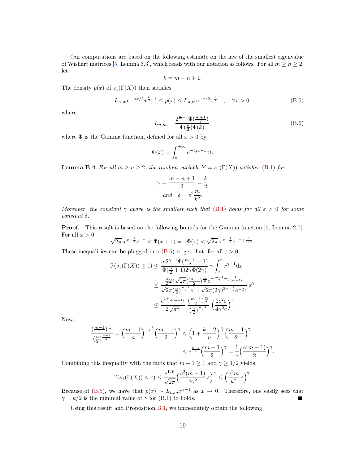Our computations are based on the following estimate on the law of the smallest eigenvalue of Wishart matrices [\[5,](#page-22-6) Lemma 3.3], which reads with our notation as follows. For all  $m \geq n \geq 2$ , let

$$
k = m - n + 1.
$$

The density  $p(x)$  of  $s_1(\Gamma(X))$  then satisfies

<span id="page-19-1"></span>
$$
L_{n,m}e^{-nx/2}x^{\frac{k}{2}-1} \le p(x) \le L_{n,m}e^{-x/2}x^{\frac{k}{2}-1}, \quad \forall x > 0,
$$
\n(B.5)

where

<span id="page-19-0"></span>
$$
L_{n,m} = \frac{2^{\frac{k}{2}-1}\Phi(\frac{m+1}{2})}{\Phi(\frac{n}{2})\Phi(k)},
$$
\n(B.6)

where  $\Phi$  is the Gamma function, defined for all  $x > 0$  by

$$
\Phi(x) = \int_0^{+\infty} e^{-t} t^{x-1} \mathrm{d}t.
$$

**Lemma B.4** *For all*  $m \ge n \ge 2$ *, the random variable*  $Y = s_1(\Gamma(X))$  *satisfies* [\(B.1\)](#page-17-3) *for* 

$$
\gamma = \frac{m - n + 1}{2} = \frac{k}{2}
$$
  
and 
$$
\delta = e^2 \frac{m}{k^2}.
$$

*Moreover, the constant*  $\gamma$  *above is the smallest such that* [\(B.1\)](#page-17-3) *holds for all*  $\varepsilon > 0$  *for some*  $constant \delta$ .

Proof. This result is based on the following bounds for the Gamma function [\[5,](#page-22-6) Lemma 2.7]. For all  $x > 0$ ,

$$
\sqrt{2\pi} x^{x+\frac{1}{2}} e^{-x} < \Phi(x+1) = x\Phi(x) < \sqrt{2\pi} x^{x+\frac{1}{2}} e^{-x+\frac{1}{12x}}.
$$

These inequalities can be plugged into [\(B.6\)](#page-19-0) to get that, for all  $\varepsilon > 0$ ,

$$
\mathbb{P}(s_1(\Gamma(X)) \le \varepsilon) \le \frac{n 2^{\gamma - 1} \Phi(\frac{m-1}{2} + 1)}{\Phi(\frac{n}{2} + 1) 2\gamma \Phi(2\gamma)} \gamma \int_0^{\varepsilon} x^{\gamma - 1} dx
$$
  

$$
\le \frac{\frac{n}{2} 2^{\gamma} \sqrt{2\pi} (\frac{m-1}{2})^{\frac{n}{2}} e^{-\frac{m-1}{2} + \frac{1}{6(m-1)}}}{\sqrt{2\pi} (\frac{n}{2})^{\frac{n+1}{2}} e^{-\frac{n}{2}} \sqrt{2\pi} (2\gamma)^{2\gamma + \frac{1}{2}} e^{-2\gamma}} \varepsilon^{\gamma}
$$
  

$$
\le \frac{e^{1 + \frac{1}{6(m-1)}}}{2\sqrt{\pi \gamma}} \frac{(\frac{m-1}{2})^{\frac{m}{2}}}{(\frac{n}{2})^{\frac{n-1}{2}}} \left(\frac{2e^2 \varepsilon}{4\gamma^2 e}\right)^{\gamma}.
$$

Now,

$$
\frac{\left(\frac{m-1}{2}\right)^{\frac{m}{2}}}{\left(\frac{n}{2}\right)^{\frac{n-1}{2}}} = \left(\frac{m-1}{n}\right)^{\frac{n-1}{2}} \left(\frac{m-1}{2}\right)^{\gamma} \le \left(1 + \frac{k-2}{n}\right)^{\frac{n}{2}} \left(\frac{m-1}{2}\right)^{\gamma}
$$

$$
\le e^{\frac{k-2}{2}} \left(\frac{m-1}{2}\right)^{\gamma} = \frac{1}{e} \left(\frac{e(m-1)}{2}\right)^{\gamma}.
$$

Combining this inequality with the facts that  $m - 1 \ge 1$  and  $\gamma \ge 1/2$  yields

$$
\mathbb{P}(s_1(\Gamma(X)) \le \varepsilon) \le \frac{e^{1/6}}{\sqrt{2\pi}} \left(\frac{e^2(m-1)}{4\gamma^2} \varepsilon\right)^\gamma \le \left(\frac{e^2m}{k^2} \varepsilon\right)^\gamma.
$$

Because of [\(B.5\)](#page-19-1), we have that  $p(x) \sim L_{n,m} x^{\gamma-1}$  as  $x \to 0$ . Therefore, one easily sees that  $\gamma = k/2$  is the minimal value of  $\gamma$  for [\(B.1\)](#page-17-3) to holds.

Using this result and Proposition [B.1,](#page-17-4) we immediately obtain the following: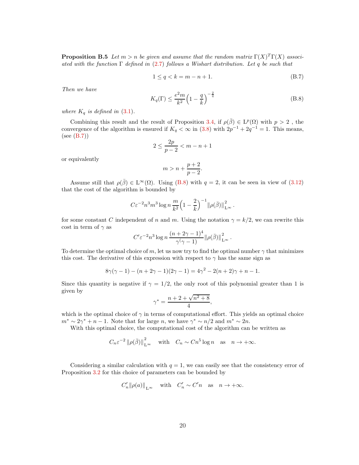**Proposition B.5** Let  $m > n$  be given and assume that the random matrix  $\Gamma(X)^T \Gamma(X)$  associ*ated with the function* Γ *defined in* [\(2.7\)](#page-5-2) *follows a Wishart distribution. Let* q *be such that*

<span id="page-20-0"></span>
$$
1 \le q < k = m - n + 1. \tag{B.7}
$$

*Then we have*

<span id="page-20-1"></span>
$$
K_q(\Gamma) \le \frac{e^2 m}{k^2} \left(1 - \frac{q}{k}\right)^{-\frac{2}{q}} \tag{B.8}
$$

*where*  $K_q$  *is defined in* [\(3.1\)](#page-8-4).

Combining this result and the result of Proposition [3.4,](#page-9-2) if  $\rho(\bar{\beta}) \in L^p(\Omega)$  with  $p > 2$ , the convergence of the algorithm is ensured if  $K_q < \infty$  in [\(3.8\)](#page-9-3) with  $2p^{-1} + 2q^{-1} = 1$ . This means, (see [\(B.7\)](#page-20-0))

$$
2 \le \frac{2p}{p-2} < m-n+1
$$

or equivalently

$$
m > n + \frac{p+2}{p-2}.
$$

Assume still that  $\rho(\bar{\beta}) \in L^{\infty}(\Omega)$ . Using [\(B.8\)](#page-20-1) with  $q = 2$ , it can be seen in view of [\(3.12\)](#page-10-2) that the cost of the algorithm is bounded by

$$
C\varepsilon^{-2}n^3m^3\log n\,\frac{m}{k^2}\Big(1-\frac{2}{k}\Big)^{-1}\|\rho(\bar{\beta})\|_{\mathrm{L}^{\infty}}^2.
$$

for some constant C independent of n and m. Using the notation  $\gamma = k/2$ , we can rewrite this cost in term of  $\gamma$  as

$$
C' \varepsilon^{-2} n^3 \log n \frac{(n+2\gamma-1)^4}{\gamma(\gamma-1)} ||\rho(\bar{\beta})||_{L^{\infty}}^2.
$$

To determine the optimal choice of m, let us now try to find the optimal number  $\gamma$  that minimizes this cost. The derivative of this expression with respect to  $\gamma$  has the same sign as

$$
8\gamma(\gamma - 1) - (n + 2\gamma - 1)(2\gamma - 1) = 4\gamma^2 - 2(n + 2)\gamma + n - 1.
$$

Since this quantity is negative if  $\gamma = 1/2$ , the only root of this polynomial greater than 1 is given by

$$
\gamma^* = \frac{n + 2 + \sqrt{n^2 + 8}}{4},
$$

which is the optimal choice of  $\gamma$  in terms of computational effort. This yields an optimal choice  $m^* \sim 2\gamma^* + n - 1$ . Note that for large n, we have  $\gamma^* \sim n/2$  and  $m^* \sim 2n$ .

With this optimal choice, the computational cost of the algorithm can be written as

$$
C_n \varepsilon^{-2} ||\rho(\bar{\beta})||_{L^{\infty}}^2
$$
 with  $C_n \sim C_n^5 \log n$  as  $n \to +\infty$ .

Considering a similar calculation with  $q = 1$ , we can easily see that the consistency error of Proposition [3.2](#page-8-2) for this choice of parameters can be bounded by

$$
C'_n \|\rho(a)\|_{L^\infty} \quad \text{with} \quad C'_n \sim C'n \quad \text{as} \quad n \to +\infty.
$$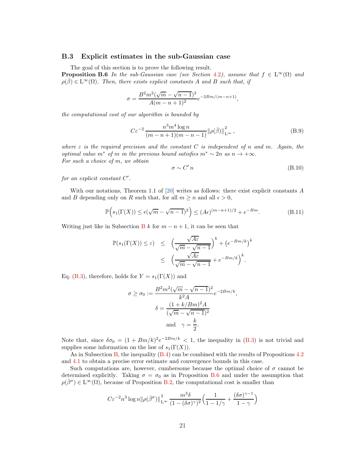#### <span id="page-21-0"></span>B.3 Explicit estimates in the sub-Gaussian case

The goal of this section is to prove the following result.

<span id="page-21-1"></span>**Proposition B.6** In the sub-Gaussian case (see Section [4.2](#page-13-0)), assume that  $f \in L^{\infty}(\Omega)$  and  $\rho(\beta) \in L^{\infty}(\Omega)$ *. Then, there exists explicit constants* A and B such that, if

$$
\sigma = \frac{B^2 m^2 (\sqrt{m} - \sqrt{n-1})^2}{A (m - n + 1)^2} e^{-2B m/(m - n + 1)},
$$

*the computational cost of our algorithm is bounded by*

$$
C\varepsilon^{-2} \frac{n^3 m^4 \log n}{(m-n+1)(m-n-1)} \left\| \rho(\bar{\beta}) \right\|_{L^\infty}^2, \tag{B.9}
$$

*where* ε *is the required precision and the constant* C *is independent of* n *and* m*. Again, the optimal value*  $m^*$  *of*  $m$  *in the previous bound satisfies*  $m^* \sim 2n$  *as*  $n \to +\infty$ *. For such a choice of* m*, we obtain*

$$
\sigma \sim C' n \tag{B.10}
$$

for an explicit constant  $C'$ .

With our notations, Theorem 1.1 of [\[20\]](#page-23-9) writes as follows: there exist explicit constants  $A$ and B depending only on R such that, for all  $m \geq n$  and all  $\epsilon > 0$ ,

<span id="page-21-2"></span>
$$
\mathbb{P}\Big(s_1(\Gamma(X)) \le \epsilon(\sqrt{m} - \sqrt{n-1})^2\Big) \le (A\epsilon)^{(m-n+1)/2} + e^{-Bm}.\tag{B.11}
$$

Writing just like in Subsection [B](#page-18-0) k for  $m - n + 1$ , it can be seen that

$$
\mathbb{P}(s_1(\Gamma(X)) \le \varepsilon) \le \left(\frac{\sqrt{A\varepsilon}}{\sqrt{m} - \sqrt{n-1}}\right)^k + \left(e^{-Bm/k}\right)^k
$$
  

$$
\le \left(\frac{\sqrt{A\varepsilon}}{\sqrt{m} - \sqrt{n-1}} + e^{-Bm/k}\right)^k.
$$

Eq. [\(B.3\)](#page-18-2), therefore, holds for  $Y = s_1(\Gamma(X))$  and

$$
\sigma \ge \sigma_0 := \frac{B^2 m^2 (\sqrt{m} - \sqrt{n-1})^2}{k^2 A} e^{-2Bm/k},
$$

$$
\delta = \frac{(1 + k/Bm)^2 A}{(\sqrt{m} - \sqrt{n-1})^2}
$$
and  $\gamma = \frac{k}{2}$ .

Note that, since  $\delta \sigma_0 = (1 + Bm/k)^2 e^{-2Bm/k} < 1$ , the inequality in [\(B.3\)](#page-18-2) is not trivial and supplies some information on the law of  $s_1(\Gamma(X))$ .

As in Subsection [B,](#page-18-0) the inequality [\(B.4\)](#page-18-3) can be combined with the results of Propositions [4.2](#page-12-1) and [4.1](#page-12-2) to obtain a precise error estimate and convergence bounds in this case.

Such computations are, however, cumbersome because the optimal choice of  $\sigma$  cannot be determined explicitly. Taking  $\sigma = \sigma_0$  as in Proposition [B.6](#page-21-1) and under the assumption that  $\rho(\bar{\beta}^{\sigma}) \in L^{\infty}(\Omega)$ , because of Proposition [B.2,](#page-18-1) the computational cost is smaller than

$$
C\varepsilon^{-2}n^3\log n\|\rho(\bar{\beta}^{\sigma})\|_{\mathrm{L}^{\infty}}^2 \frac{m^3\delta}{(1-(\delta\sigma)^{\gamma})^2}\Big(\frac{1}{1-1/\gamma}+\frac{(\delta\sigma)^{\gamma-1}}{1-\gamma}\Big)
$$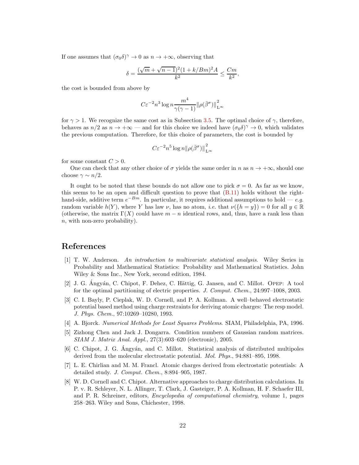If one assumes that  $(\sigma_0 \delta)^\gamma \to 0$  as  $n \to +\infty$ , observing that

$$
\delta=\frac{(\sqrt{m}+\sqrt{n-1})^2(1+k/Bm)^2A}{k^2}\leq\frac{Cm}{k^2},
$$

the cost is bounded from above by

$$
C\varepsilon^{-2}n^3\log n\frac{m^4}{\gamma(\gamma-1)}\|\rho(\bar{\beta}^\sigma)\|_{\mathrm{L}^\infty}^2
$$

for  $\gamma > 1$ . We recognize the same cost as in Subsection [3.5.](#page-11-1) The optimal choice of  $\gamma$ , therefore, behaves as  $n/2$  as  $n \to +\infty$  — and for this choice we indeed have  $(\sigma_0 \delta)^\gamma \to 0$ , which validates the previous computation. Therefore, for this choice of parameters, the cost is bounded by

$$
C\varepsilon^{-2}n^5\log n\|\rho(\bar{\beta}^\sigma)\|_{L^\infty}^2
$$

for some constant  $C > 0$ .

One can check that any other choice of  $\sigma$  yields the same order in n as  $n \to +\infty$ , should one choose  $\gamma \sim n/2$ .

It ought to be noted that these bounds do not allow one to pick  $\sigma = 0$ . As far as we know, this seems to be an open and difficult question to prove that  $(B.11)$  holds without the righthand-side, additive term  $e^{-Bm}$ . In particular, it requires additional assumptions to hold — *e.g.* random variable  $h(Y)$ , where Y has law  $\nu$ , has no atom, *i.e.* that  $\nu({h = y}) = 0$  for all  $y \in \mathbb{R}$ (otherwise, the matrix  $\Gamma(X)$  could have  $m - n$  identical rows, and, thus, have a rank less than n, with non-zero probability).

# <span id="page-22-5"></span>References

- [1] T. W. Anderson. *An introduction to multivariate statistical analysis*. Wiley Series in Probability and Mathematical Statistics: Probability and Mathematical Statistics. John Wiley & Sons Inc., New York, second edition, 1984.
- <span id="page-22-7"></span>[2] J. G. Angyán, C. Chipot, F. Dehez, C. Hättig, G. Jansen, and C. Millot. Opep: A tool for the optimal partitioning of electric properties. *J. Comput. Chem.*, 24:997–1008, 2003.
- <span id="page-22-3"></span>[3] C. I. Bayly, P. Cieplak, W. D. Cornell, and P. A. Kollman. A well–behaved electrostatic potential based method using charge restraints for deriving atomic charges: The resp model. *J. Phys. Chem.*, 97:10269–10280, 1993.
- <span id="page-22-6"></span><span id="page-22-4"></span>[4] A. Bjorck. *Numerical Methods for Least Squares Problems*. SIAM, Philadelphia, PA, 1996.
- [5] Zizhong Chen and Jack J. Dongarra. Condition numbers of Gaussian random matrices. *SIAM J. Matrix Anal. Appl.*, 27(3):603–620 (electronic), 2005.
- <span id="page-22-0"></span>[6] C. Chipot, J. G. Angyán, and C. Millot. Statistical analysis of distributed multipoles derived from the molecular electrostatic potential. *Mol. Phys.*, 94:881–895, 1998.
- <span id="page-22-2"></span>[7] L. E. Chirlian and M. M. Francl. Atomic charges derived from electrostatic potentials: A detailed study. *J. Comput. Chem.*, 8:894–905, 1987.
- <span id="page-22-1"></span>[8] W. D. Cornell and C. Chipot. Alternative approaches to charge distribution calculations. In P. v. R. Schleyer, N. L. Allinger, T. Clark, J. Gasteiger, P. A. Kollman, H. F. Schaefer III, and P. R. Schreiner, editors, *Encyclopedia of computational chemistry*, volume 1, pages 258–263. Wiley and Sons, Chichester, 1998.